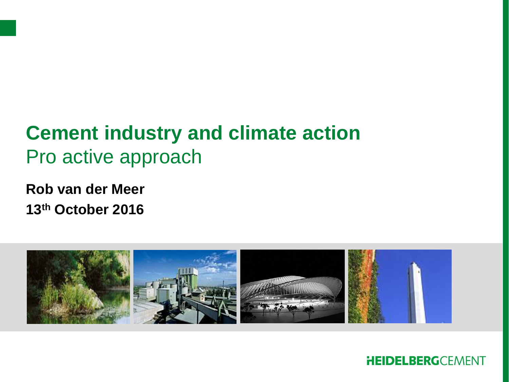

**Rob van der Meer 13th October 2016**

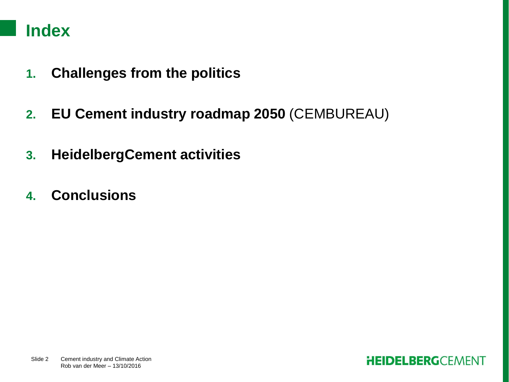## **Index**

- **1. Challenges from the politics**
- **2. EU Cement industry roadmap 2050** (CEMBUREAU)
- **3. HeidelbergCement activities**
- **4. Conclusions**

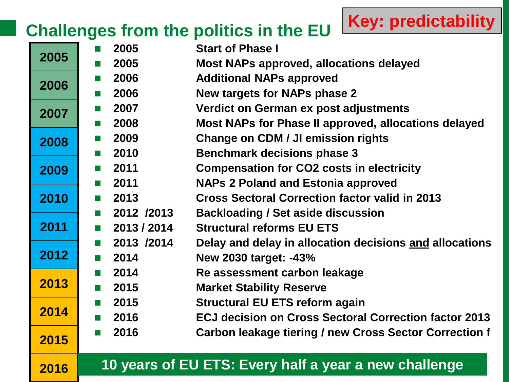# **Challenges from the politics in the EU**

| 2005 | 2005                | <b>Start of Phase I</b>                                      |
|------|---------------------|--------------------------------------------------------------|
|      | 2005                | <b>Most NAPs approved, allocations delayed</b>               |
| 2006 | 2006                | <b>Additional NAPs approved</b>                              |
|      | 2006                | <b>New targets for NAPs phase 2</b>                          |
| 2007 | 2007                | Verdict on German ex post adjustments                        |
|      | 2008<br>a a t       | Most NAPs for Phase II approved, allocations delayed         |
| 2008 | 2009                | <b>Change on CDM / JI emission rights</b>                    |
|      | 2010                | <b>Benchmark decisions phase 3</b>                           |
| 2009 | 2011                | <b>Compensation for CO2 costs in electricity</b>             |
|      | 2011                | <b>NAPs 2 Poland and Estonia approved</b>                    |
| 2010 | 2013                | <b>Cross Sectoral Correction factor valid in 2013</b>        |
|      | 2012 /2013          | <b>Backloading / Set aside discussion</b>                    |
| 2011 | 2013 / 2014         | <b>Structural reforms EU ETS</b>                             |
|      | 2013 /2014          | Delay and delay in allocation decisions and allocations      |
| 2012 | 2014<br><b>Tall</b> | <b>New 2030 target: -43%</b>                                 |
| 2013 | 2014                | Re assessment carbon leakage                                 |
|      | 2015<br>a a t       | <b>Market Stability Reserve</b>                              |
| 2014 | 2015                | <b>Structural EU ETS reform again</b>                        |
|      | 2016                | <b>ECJ decision on Cross Sectoral Correction factor 2013</b> |
| 2015 | 2016                | Carbon leakage tiering / new Cross Sector Correction f       |
|      |                     | 10 years of EU ETS: Every half a year a new challenge        |
| 2016 |                     |                                                              |

**Key: predictability**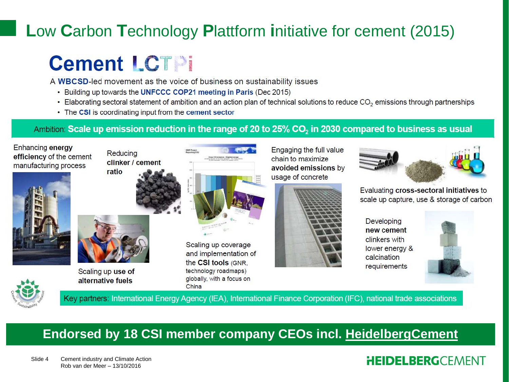# **L**ow **C**arbon **T**echnology **P**lattform **i**nitiative for cement (2015)

# **Cement LCTPi**

A WBCSD-led movement as the voice of business on sustainability issues

- Building up towards the UNFCCC COP21 meeting in Paris (Dec 2015)
- Elaborating sectoral statement of ambition and an action plan of technical solutions to reduce CO<sub>2</sub> emissions through partnerships
- The CSI is coordinating input from the cement sector

#### Ambition: Scale up emission reduction in the range of 20 to 25% CO<sub>2</sub> in 2030 compared to business as usual



Enhancing energy





Scaling up use of alternative fuels



Scaling up coverage and implementation of the CSI tools (GNR. technology roadmaps) globally, with a focus on China

Engaging the full value chain to maximize avoided emissions by usage of concrete





Evaluating cross-sectoral initiatives to scale up capture, use & storage of carbon

**Developing** new cement clinkers with lower energy & calcination requirements



Key partners: International Energy Agency (IEA), International Finance Corporation (IFC), national trade associations

## **Endorsed by 18 CSI member company CEOs incl. HeidelbergCement**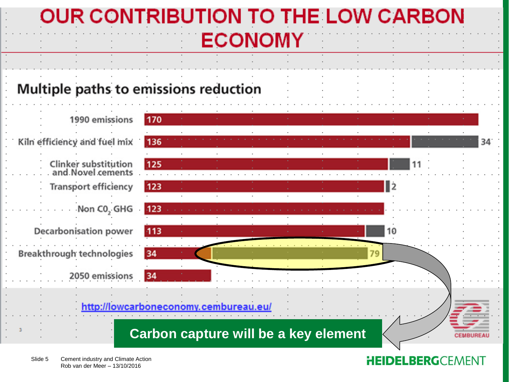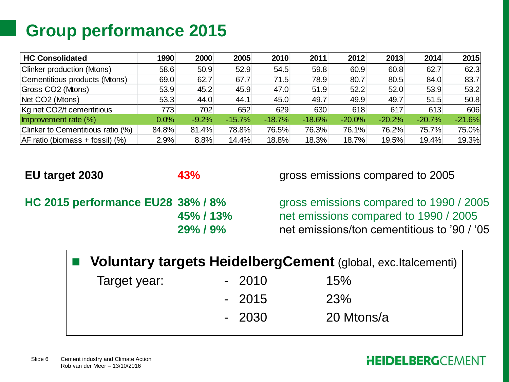# **Group performance 2015**

| <b>HC Consolidated</b>            | 1990  | 2000    | 2005     | 2010     | 2011     | 2012     | 2013     | 2014     | 2015     |
|-----------------------------------|-------|---------|----------|----------|----------|----------|----------|----------|----------|
| Clinker production (Mtons)        | 58.6  | 50.9    | 52.9     | 54.5     | 59.8     | 60.9     | 60.8     | 62.7     | 62.3     |
| Cementitious products (Mtons)     | 69.0  | 62.7    | 67.7     | 71.5     | 78.9     | 80.7     | 80.5     | 84.0     | 83.7     |
| Gross CO2 (Mtons)                 | 53.9  | 45.2    | 45.9     | 47.0     | 51.9     | 52.2     | 52.0     | 53.9     | 53.2     |
| Net CO2 (Mtons)                   | 53.3  | 44.0    | 44.1     | 45.0     | 49.7     | 49.9     | 49.7     | 51.5     | 50.8     |
| Kg net CO2/t cementitious         | 7731  | 702     | 652      | 629      | 630      | 618      | 617      | 613      | 606      |
| Improvement rate (%)              | 0.0%  | $-9.2%$ | $-15.7%$ | $-18.7%$ | $-18.6%$ | $-20.0%$ | $-20.2%$ | $-20.7%$ | $-21.6%$ |
| Clinker to Cementitious ratio (%) | 84.8% | 81.4%   | 78.8%    | 76.5%    | 76.3%    | 76.1%    | 76.2%    | 75.7%    | 75.0%    |
| AF ratio (biomass + fossil) (%)   | 2.9%  | 8.8%    | 14.4%    | 18.8%    | 18.3%    | 18.7%    | 19.5%    | 19.4%    | 19.3%    |

**EU target 2030 43%** gross emissions compared to 2005

**HC 2015 performance EU28 38% / 8%** *gross emissions compared to 1990 / 2005* **45% / 13%** net emissions compared to 1990 / 2005 **29% / 9%** net emissions/ton cementitious to '90 / '05

| ■ Voluntary targets HeidelbergCement (global, exc.Italcementi) |         |            |  |  |  |  |  |  |
|----------------------------------------------------------------|---------|------------|--|--|--|--|--|--|
| Target year:                                                   | $-2010$ | 15%        |  |  |  |  |  |  |
|                                                                | $-2015$ | <b>23%</b> |  |  |  |  |  |  |
|                                                                | $-2030$ | 20 Mtons/a |  |  |  |  |  |  |

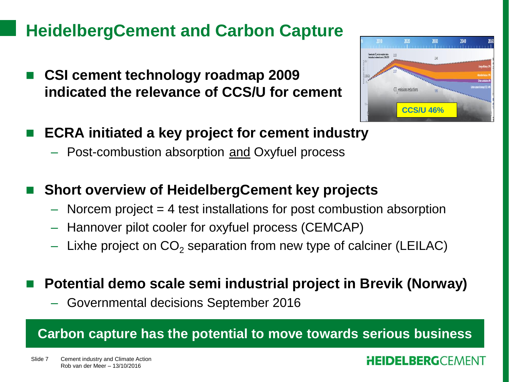## **HeidelbergCement and Carbon Capture**

 **CSI cement technology roadmap 2009 indicated the relevance of CCS/U for cement**



- **ECRA initiated a key project for cement industry**
	- Post-combustion absorption and Oxyfuel process

## **Short overview of HeidelbergCement key projects**

- $-$  Norcem project  $=$  4 test installations for post combustion absorption
- Hannover pilot cooler for oxyfuel process (CEMCAP)
- Lixhe project on  $CO<sub>2</sub>$  separation from new type of calciner (LEILAC)

### **Potential demo scale semi industrial project in Brevik (Norway)**

– Governmental decisions September 2016

### **Carbon capture has the potential to move towards serious business**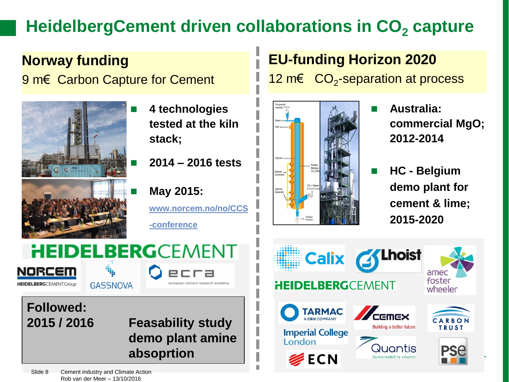# **HeidelbergCement driven collaborations in CO<sub>2</sub> capture**

**Norway funding** 9 m€ Carbon Capture for Cement



- **4 technologies tested at the kiln stack;**
	- **2014 – 2016 tests**

 **May 2015: [www.norcem.no/no/CCS](http://www.norcem.no/no/CCS-conference) [-conference](http://www.norcem.no/no/CCS-conference)**

european cement research academy

# **HEIDELBERG**CEMENT

NORCEM **HEIDELBERG**CEMENTGroup

**GASSNOVA** 

**Followed:** 

## **2015 / 2016 Feasability study demo plant amine absoprtion**

**EU-funding Horizon 2020** 12 m€  $CO<sub>2</sub>$ -separation at process



- **Australia: commercial MgO; 2012-2014**
- **HC - Belgium demo plant for cement & lime; 2015-2020**



Slide 8 Cement industry and Climate Action Rob van der Meer – 13/10/2016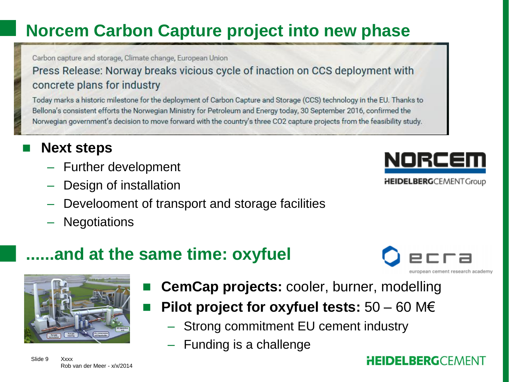# **Norcem Carbon Capture project into new phase**

Carbon capture and storage, Climate change, European Union

### Press Release: Norway breaks vicious cycle of inaction on CCS deployment with concrete plans for industry

Today marks a historic milestone for the deployment of Carbon Capture and Storage (CCS) technology in the EU. Thanks to Bellona's consistent efforts the Norwegian Ministry for Petroleum and Energy today, 30 September 2016, confirmed the Norwegian government's decision to move forward with the country's three CO2 capture projects from the feasibility study.

## **Next steps**

- Further development
- Design of installation
- Develooment of transport and storage facilities
- Negotiations

# NORCEI

**HEIDELBERG**CEMENTGroup

uropean cement research academy

## **......and at the same time: oxyfuel**



Slide 9 Xxxx Rob van der Meer - x/x/2014

- **CemCap projects:** cooler, burner, modelling
- **Pilot project for oxyfuel tests:** 50 60 M€
	- Strong commitment EU cement industry
	- Funding is a challenge

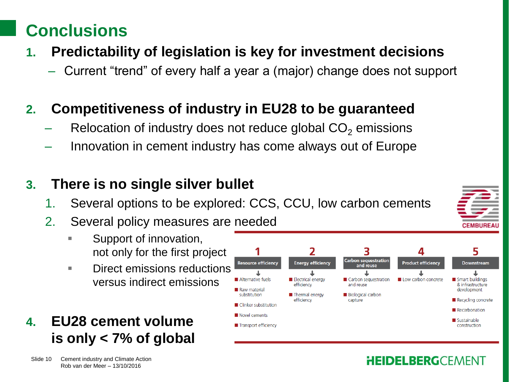# **Conclusions**

- **1. Predictability of legislation is key for investment decisions**
	- Current "trend" of every half a year a (major) change does not support

## **2. Competitiveness of industry in EU28 to be guaranteed**

- Relocation of industry does not reduce global  $CO<sub>2</sub>$  emissions
- Innovation in cement industry has come always out of Europe

## **3. There is no single silver bullet**

1. Several options to be explored: CCS, CCU, low carbon cements

**Resource efficiency** 

Alternative fuels

Raw material

substitution

Novel cements

■ Clinker substitution

Transport efficiency

- 2. Several policy measures are needed
	- Support of innovation, not only for the first project
	- **Direct emissions reductions** versus indirect emissions
- **4. EU28 cement volume is only < 7% of global**

### **HEIDELBERGCEMENT**

Low carbon concrete

Carbon sequestratior

and reuse

Carbon sequestration

and reuse

capture

**Biological carbon** 

**Energy efficiency** 

**Electrical energy** 

Thermal energy

efficiency

efficiency



Smart buildings

development

Recarbonation

construction

Sustainable

& infrastructure

Recycling concrete